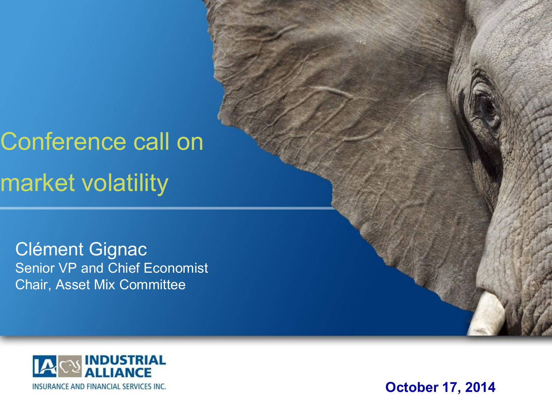# Conference call on market volatility

Clément Gignac Senior VP and Chief Economist Chair, Asset Mix Committee



**October 17, 2014**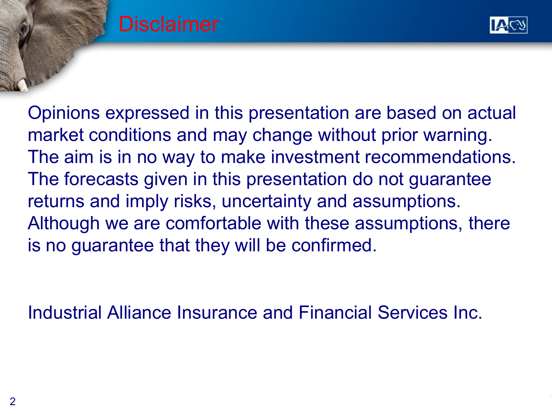



Opinions expressed in this presentation are based on actual market conditions and may change without prior warning. The aim is in no way to make investment recommendations. The forecasts given in this presentation do not guarantee returns and imply risks, uncertainty and assumptions. Although we are comfortable with these assumptions, there is no guarantee that they will be confirmed.

Industrial Alliance Insurance and Financial Services Inc.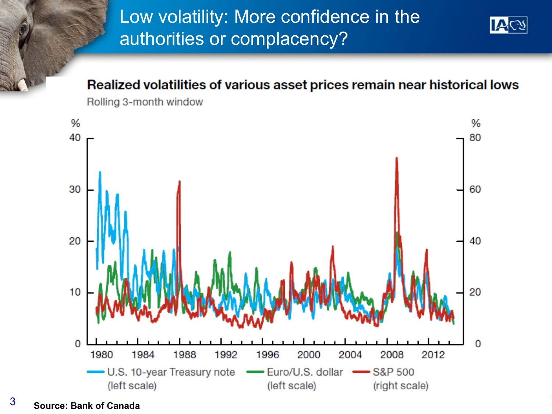## Low volatility: More confidence in the authorities or complacency?



#### Realized volatilities of various asset prices remain near historical lows Rolling 3-month window



3 **Source: Bank of Canada**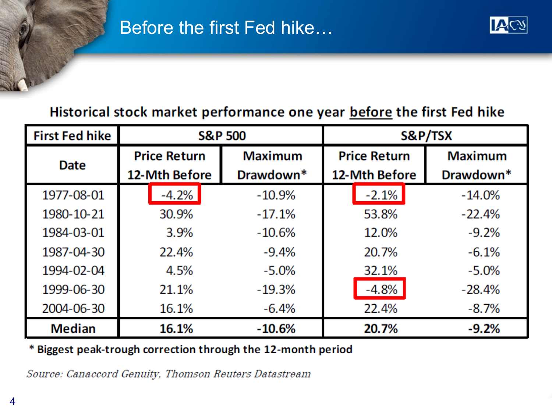#### Before the first Fed hike...



#### Historical stock market performance one year before the first Fed hike

| <b>First Fed hike</b> | <b>S&amp;P 500</b>  |                | S&P/TSX             |                       |
|-----------------------|---------------------|----------------|---------------------|-----------------------|
| Date                  | <b>Price Return</b> | <b>Maximum</b> | <b>Price Return</b> | <b>Maximum</b>        |
|                       | 12-Mth Before       | Drawdown*      | 12-Mth Before       | Drawdown <sup>*</sup> |
| 1977-08-01            | $-4.2%$             | $-10.9%$       | $-2.1%$             | $-14.0%$              |
| 1980-10-21            | 30.9%               | $-17.1%$       | 53.8%               | $-22.4%$              |
| 1984-03-01            | 3.9%                | $-10.6\%$      | 12.0%               | $-9.2%$               |
| 1987-04-30            | 22.4%               | $-9.4%$        | 20.7%               | $-6.1%$               |
| 1994-02-04            | 4.5%                | $-5.0%$        | 32.1%               | $-5.0%$               |
| 1999-06-30            | 21.1%               | $-19.3%$       | $-4.8%$             | $-28.4%$              |
| 2004-06-30            | 16.1%               | $-6.4%$        | 22.4%               | $-8.7\%$              |
| <b>Median</b>         | 16.1%               | $-10.6%$       | 20.7%               | $-9.2%$               |

\* Biggest peak-trough correction through the 12-month period

Source: Canaccord Genuity, Thomson Reuters Datastream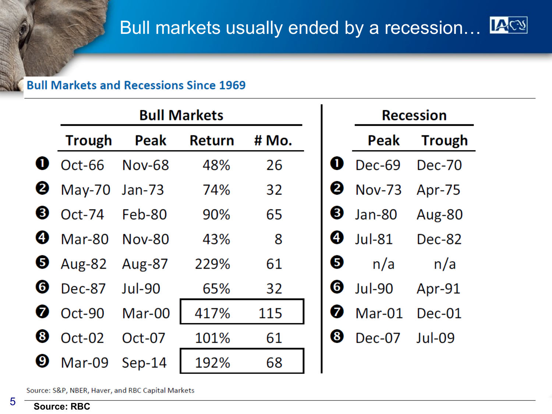#### **Bull Markets and Recessions Since 1969**

|    | <b>Bull Markets</b> |               |               |       |  |  |
|----|---------------------|---------------|---------------|-------|--|--|
|    | <b>Trough</b>       | Peak          | <b>Return</b> | # Mo. |  |  |
| Œ  | Oct-66              | <b>Nov-68</b> | 48%           | 26    |  |  |
| ❷  | May-70 Jan-73       |               | 74%           | 32    |  |  |
| ❸  | $Oct-74$            | Feb-80        | 90%           | 65    |  |  |
| Ø  | $Mar-80$            | <b>Nov-80</b> | 43%           | 8     |  |  |
| ❺  | Aug-82              | <b>Aug-87</b> | 229%          | 61    |  |  |
| 6  | <b>Dec-87</b>       | <b>Jul-90</b> | 65%           | 32    |  |  |
| J) | Oct-90              | Mar-00        | 417%          | 115   |  |  |
| 6  | $Oct-02$            | $Oct-07$      | 101%          | 61    |  |  |
| 9  | Mar-09              | $Sep-14$      | 192%          | 68    |  |  |

|          | <b>Recession</b> |               |  |  |  |
|----------|------------------|---------------|--|--|--|
|          | Peak             | <b>Trough</b> |  |  |  |
|          | <b>Dec-69</b>    | <b>Dec-70</b> |  |  |  |
| 2        | <b>Nov-73</b>    | Apr-75        |  |  |  |
| B)       | Jan-80           | Aug-80        |  |  |  |
| 4)       | $Jul-81$         | Dec-82        |  |  |  |
| B        | n/a              | n/a           |  |  |  |
| 6)       | <b>Jul-90</b>    | Apr-91        |  |  |  |
|          | Mar-01           | Dec-01        |  |  |  |
| $\bf{8}$ | Dec-07           | $Jul-09$      |  |  |  |
|          |                  |               |  |  |  |

Source: S&P, NBER, Haver, and RBC Capital Markets

5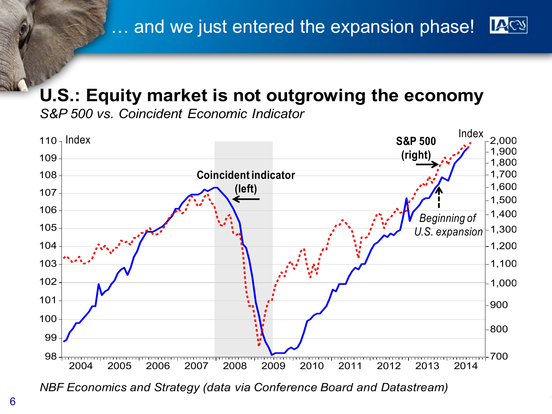# **U.S.: Equity market is not outgrowing the economy**

*S&P 500 vs. Coincident Economic Indicator*



*NBF Economics and Strategy (data via Conference Board and Datastream)*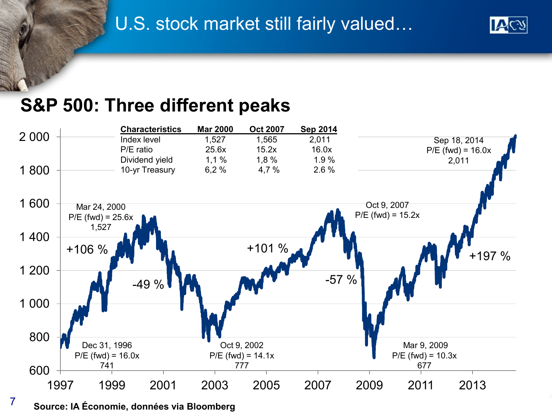# U.S. stock market still fairly valued…



### **S&P 500: Three different peaks**



**Source: IA Économie, données via Bloomberg**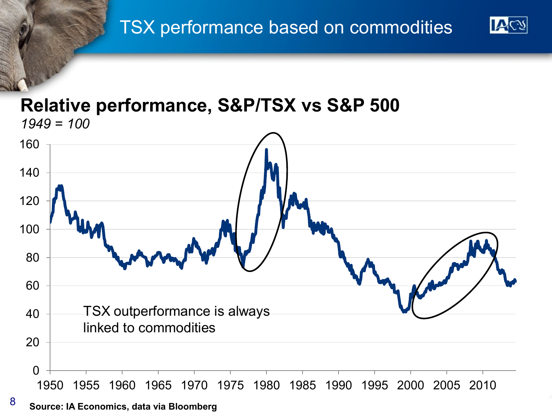# TSX performance based on commodities



#### **Relative performance, S&P/TSX vs S&P 500** *1949 = 100*



**Source: IA Economics, data via Bloomberg**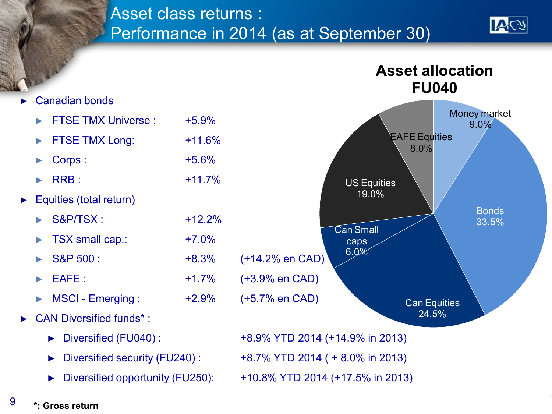#### Asset class returns : Performance in 2014 (as at September 30)





- ► Diversified opportunity (FU250): +10.8% YTD 2014 (+17.5% in 2013)
- 9 **\*: Gross return**